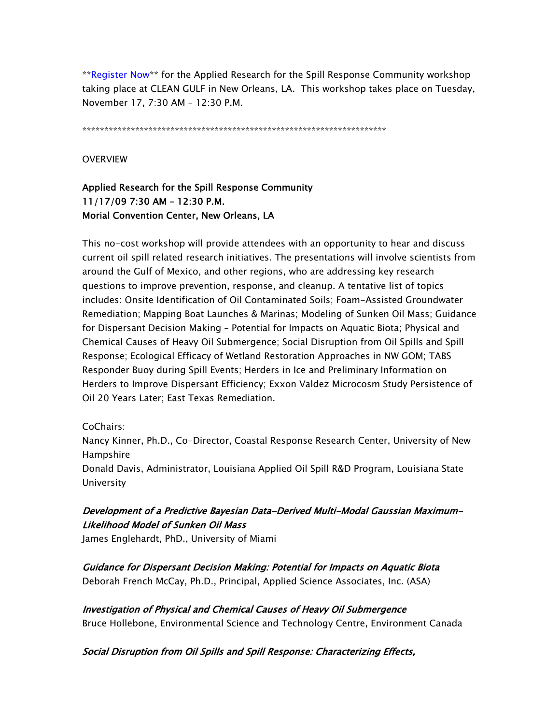\*\*Register Now\*\* for the Applied Research for the Spill Response Community workshop taking place at CLEAN GULF in New Orleans, LA. This workshop takes place on Tuesday, November 17, 7:30 AM – 12:30 P.M.

\*\*\*\*\*\*\*\*\*\*\*\*\*\*\*\*\*\*\*\*\*\*\*\*\*\*\*\*\*\*\*\*\*\*\*\*\*\*\*\*\*\*\*\*\*\*\*\*\*\*\*\*\*\*\*\*\*\*\*\*\*\*\*\*\*\*\*\*\*

#### **OVERVIEW**

# Applied Research for the Spill Response Community 11/17/09 7:30 AM – 12:30 P.M. Morial Convention Center, New Orleans, LA

This no-cost workshop will provide attendees with an opportunity to hear and discuss current oil spill related research initiatives. The presentations will involve scientists from around the Gulf of Mexico, and other regions, who are addressing key research questions to improve prevention, response, and cleanup. A tentative list of topics includes: Onsite Identification of Oil Contaminated Soils; Foam-Assisted Groundwater Remediation; Mapping Boat Launches & Marinas; Modeling of Sunken Oil Mass; Guidance for Dispersant Decision Making – Potential for Impacts on Aquatic Biota; Physical and Chemical Causes of Heavy Oil Submergence; Social Disruption from Oil Spills and Spill Response; Ecological Efficacy of Wetland Restoration Approaches in NW GOM; TABS Responder Buoy during Spill Events; Herders in Ice and Preliminary Information on Herders to Improve Dispersant Efficiency; Exxon Valdez Microcosm Study Persistence of Oil 20 Years Later; East Texas Remediation.

#### CoChairs:

Nancy Kinner, Ph.D., Co-Director, Coastal Response Research Center, University of New Hampshire

Donald Davis, Administrator, Louisiana Applied Oil Spill R&D Program, Louisiana State University

# Development of a Predictive Bayesian Data-Derived Multi-Modal Gaussian Maximum-Likelihood Model of Sunken Oil Mass

James Englehardt, PhD., University of Miami

## Guidance for Dispersant Decision Making: Potential for Impacts on Aquatic Biota Deborah French McCay, Ph.D., Principal, Applied Science Associates, Inc. (ASA)

Investigation of Physical and Chemical Causes of Heavy Oil Submergence

Bruce Hollebone, Environmental Science and Technology Centre, Environment Canada

#### Social Disruption from Oil Spills and Spill Response: Characterizing Effects,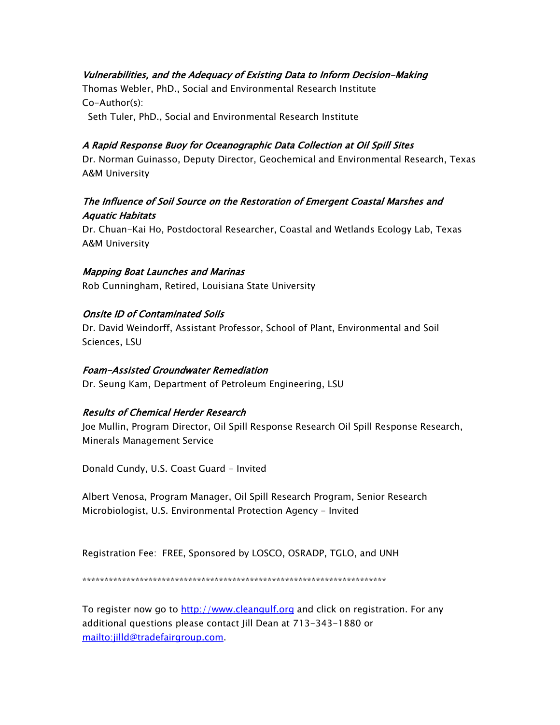# Vulnerabilities, and the Adequacy of Existing Data to Inform Decision-Making

Thomas Webler, PhD., Social and Environmental Research Institute Co-Author(s):

Seth Tuler, PhD., Social and Environmental Research Institute

## A Rapid Response Buoy for Oceanographic Data Collection at Oil Spill Sites

Dr. Norman Guinasso, Deputy Director, Geochemical and Environmental Research, Texas A&M University

# The Influence of Soil Source on the Restoration of Emergent Coastal Marshes and Aquatic Habitats

Dr. Chuan-Kai Ho, Postdoctoral Researcher, Coastal and Wetlands Ecology Lab, Texas A&M University

### Mapping Boat Launches and Marinas

Rob Cunningham, Retired, Louisiana State University

## Onsite ID of Contaminated Soils

Dr. David Weindorff, Assistant Professor, School of Plant, Environmental and Soil Sciences, LSU

### Foam-Assisted Groundwater Remediation

Dr. Seung Kam, Department of Petroleum Engineering, LSU

## Results of Chemical Herder Research

Joe Mullin, Program Director, Oil Spill Response Research Oil Spill Response Research, Minerals Management Service

Donald Cundy, U.S. Coast Guard - Invited

Albert Venosa, Program Manager, Oil Spill Research Program, Senior Research Microbiologist, U.S. Environmental Protection Agency - Invited

Registration Fee: FREE, Sponsored by LOSCO, OSRADP, TGLO, and UNH

\*\*\*\*\*\*\*\*\*\*\*\*\*\*\*\*\*\*\*\*\*\*\*\*\*\*\*\*\*\*\*\*\*\*\*\*\*\*\*\*\*\*\*\*\*\*\*\*\*\*\*\*\*\*\*\*\*\*\*\*\*\*\*\*\*\*\*\*\*

To register now go to http://www.cleangulf.org and click on registration. For any additional questions please contact Jill Dean at 713-343-1880 or mailto:jilld@tradefairgroup.com.